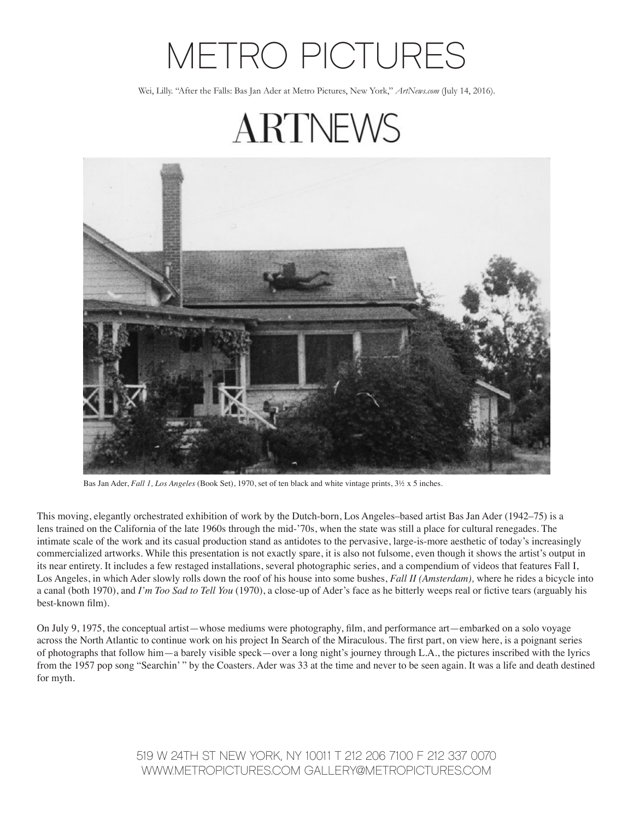## METRO PICTURES

Wei, Lilly. "After the Falls: Bas Jan Ader at Metro Pictures, New York," *ArtNews.com* (July 14, 2016).

**ARTNEWS** 



This moving, elegantly orchestrated exhibition of work by the Dutch-born, Los Angeles–based artist Bas Jan Ader (1942–75) is a lens trained on the California of the late 1960s through the mid-'70s, when the state was still a place for cultural renegades. The intimate scale of the work and its casual production stand as antidotes to the pervasive, large-is-more aesthetic of today's increasingly commercialized artworks. While this presentation is not exactly spare, it is also not fulsome, even though it shows the artist's output in its near entirety. It includes a few restaged installations, several photographic series, and a compendium of videos that features Fall I, Los Angeles, in which Ader slowly rolls down the roof of his house into some bushes, *Fall II (Amsterdam),* where he rides a bicycle into a canal (both 1970), and *I'm Too Sad to Tell You* (1970), a close-up of Ader's face as he bitterly weeps real or fictive tears (arguably his best-known film).

On July 9, 1975, the conceptual artist—whose mediums were photography, film, and performance art—embarked on a solo voyage across the North Atlantic to continue work on his project In Search of the Miraculous. The first part, on view here, is a poignant series of photographs that follow him—a barely visible speck—over a long night's journey through L.A., the pictures inscribed with the lyrics from the 1957 pop song "Searchin' " by the Coasters. Ader was 33 at the time and never to be seen again. It was a life and death destined for myth.

> 519 W 24TH ST NEW YORK, NY 10011 T 212 206 7100 F 212 337 0070 WWW.METROPICTURES.COM GALLERY@METROPICTURES.COM